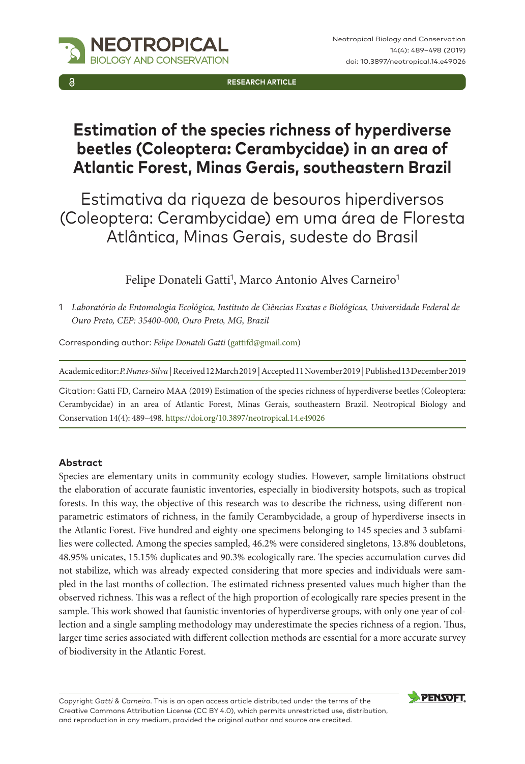**RESEARCH ARTICLE**

# **Estimation of the species richness of hyperdiverse beetles (Coleoptera: Cerambycidae) in an area of Atlantic Forest, Minas Gerais, southeastern Brazil**

Estimativa da riqueza de besouros hiperdiversos (Coleoptera: Cerambycidae) em uma área de Floresta Atlântica, Minas Gerais, sudeste do Brasil

Felipe Donateli Gatti<sup>1</sup>, Marco Antonio Alves Carneiro<sup>1</sup>

1 *Laboratório de Entomologia Ecológica, Instituto de Ciências Exatas e Biológicas, Universidade Federal de Ouro Preto, CEP: 35400-000, Ouro Preto, MG, Brazil*

Corresponding author: *Felipe Donateli Gatti* ([gattifd@gmail.com](mailto:gattifd@gmail.com))

Academic editor: *P. Nunes-Silva* | Received 12 March 2019 | Accepted 11 November 2019 | Published 13 December 2019

Citation: Gatti FD, Carneiro MAA (2019) Estimation of the species richness of hyperdiverse beetles (Coleoptera: Cerambycidae) in an area of Atlantic Forest, Minas Gerais, southeastern Brazil. Neotropical Biology and Conservation 14(4): 489–498. <https://doi.org/10.3897/neotropical.14.e49026>

### **Abstract**

Species are elementary units in community ecology studies. However, sample limitations obstruct the elaboration of accurate faunistic inventories, especially in biodiversity hotspots, such as tropical forests. In this way, the objective of this research was to describe the richness, using different nonparametric estimators of richness, in the family Cerambycidade, a group of hyperdiverse insects in the Atlantic Forest. Five hundred and eighty-one specimens belonging to 145 species and 3 subfamilies were collected. Among the species sampled, 46.2% were considered singletons, 13.8% doubletons, 48.95% unicates, 15.15% duplicates and 90.3% ecologically rare. The species accumulation curves did not stabilize, which was already expected considering that more species and individuals were sampled in the last months of collection. The estimated richness presented values much higher than the observed richness. This was a reflect of the high proportion of ecologically rare species present in the sample. This work showed that faunistic inventories of hyperdiverse groups, with only one year of collection and a single sampling methodology may underestimate the species richness of a region. Thus, larger time series associated with different collection methods are essential for a more accurate survey of biodiversity in the Atlantic Forest.

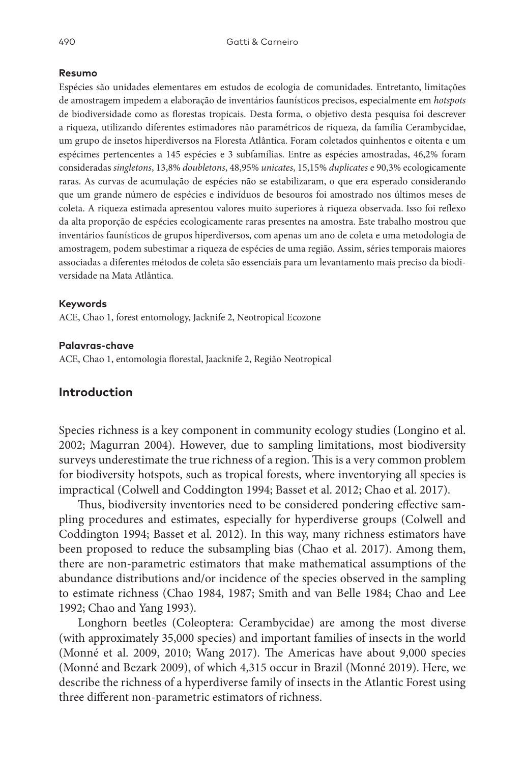#### **Resumo**

Espécies são unidades elementares em estudos de ecologia de comunidades. Entretanto, limitações de amostragem impedem a elaboração de inventários faunísticos precisos, especialmente em *hotspots* de biodiversidade como as florestas tropicais. Desta forma, o objetivo desta pesquisa foi descrever a riqueza, utilizando diferentes estimadores não paramétricos de riqueza, da família Cerambycidae, um grupo de insetos hiperdiversos na Floresta Atlântica. Foram coletados quinhentos e oitenta e um espécimes pertencentes a 145 espécies e 3 subfamílias. Entre as espécies amostradas, 46,2% foram consideradas *singletons*, 13,8% *doubletons*, 48,95% *unicates*, 15,15% *duplicates* e 90,3% ecologicamente raras. As curvas de acumulação de espécies não se estabilizaram, o que era esperado considerando que um grande número de espécies e indivíduos de besouros foi amostrado nos últimos meses de coleta. A riqueza estimada apresentou valores muito superiores à riqueza observada. Isso foi reflexo da alta proporção de espécies ecologicamente raras presentes na amostra. Este trabalho mostrou que inventários faunísticos de grupos hiperdiversos, com apenas um ano de coleta e uma metodologia de amostragem, podem subestimar a riqueza de espécies de uma região. Assim, séries temporais maiores associadas a diferentes métodos de coleta são essenciais para um levantamento mais preciso da biodiversidade na Mata Atlântica.

#### **Keywords**

ACE, Chao 1, forest entomology, Jacknife 2, Neotropical Ecozone

#### **Palavras-chave**

ACE, Chao 1, entomologia florestal, Jaacknife 2, Região Neotropical

## **Introduction**

Species richness is a key component in community ecology studies (Longino et al. 2002; Magurran 2004). However, due to sampling limitations, most biodiversity surveys underestimate the true richness of a region. This is a very common problem for biodiversity hotspots, such as tropical forests, where inventorying all species is impractical (Colwell and Coddington 1994; Basset et al. 2012; Chao et al. 2017).

Thus, biodiversity inventories need to be considered pondering effective sampling procedures and estimates, especially for hyperdiverse groups (Colwell and Coddington 1994; Basset et al. 2012). In this way, many richness estimators have been proposed to reduce the subsampling bias (Chao et al. 2017). Among them, there are non-parametric estimators that make mathematical assumptions of the abundance distributions and/or incidence of the species observed in the sampling to estimate richness (Chao 1984, 1987; Smith and van Belle 1984; Chao and Lee 1992; Chao and Yang 1993).

Longhorn beetles (Coleoptera: Cerambycidae) are among the most diverse (with approximately 35,000 species) and important families of insects in the world (Monné et al. 2009, 2010; Wang 2017). The Americas have about 9,000 species (Monné and Bezark 2009), of which 4,315 occur in Brazil (Monné 2019). Here, we describe the richness of a hyperdiverse family of insects in the Atlantic Forest using three different non-parametric estimators of richness.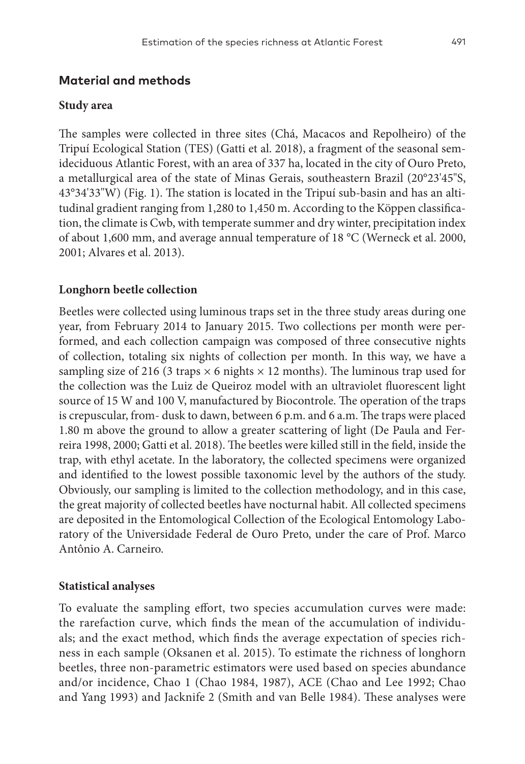# **Material and methods**

### **Study area**

The samples were collected in three sites (Chá, Macacos and Repolheiro) of the Tripuí Ecological Station (TES) (Gatti et al. 2018), a fragment of the seasonal semideciduous Atlantic Forest, with an area of 337 ha, located in the city of Ouro Preto, a metallurgical area of the state of Minas Gerais, southeastern Brazil (20°23'45"S, 43°34'33"W) (Fig. 1). The station is located in the Tripuí sub-basin and has an altitudinal gradient ranging from 1,280 to 1,450 m. According to the Köppen classification, the climate is Cwb, with temperate summer and dry winter, precipitation index of about 1,600 mm, and average annual temperature of 18 °C (Werneck et al. 2000, 2001; Alvares et al. 2013).

## **Longhorn beetle collection**

Beetles were collected using luminous traps set in the three study areas during one year, from February 2014 to January 2015. Two collections per month were performed, and each collection campaign was composed of three consecutive nights of collection, totaling six nights of collection per month. In this way, we have a sampling size of 216 (3 traps  $\times$  6 nights  $\times$  12 months). The luminous trap used for the collection was the Luiz de Queiroz model with an ultraviolet fluorescent light source of 15 W and 100 V, manufactured by Biocontrole. The operation of the traps is crepuscular, from- dusk to dawn, between 6 p.m. and 6 a.m. The traps were placed 1.80 m above the ground to allow a greater scattering of light (De Paula and Ferreira 1998, 2000; Gatti et al. 2018). The beetles were killed still in the field, inside the trap, with ethyl acetate. In the laboratory, the collected specimens were organized and identified to the lowest possible taxonomic level by the authors of the study. Obviously, our sampling is limited to the collection methodology, and in this case, the great majority of collected beetles have nocturnal habit. All collected specimens are deposited in the Entomological Collection of the Ecological Entomology Laboratory of the Universidade Federal de Ouro Preto, under the care of Prof. Marco Antônio A. Carneiro.

### **Statistical analyses**

To evaluate the sampling effort, two species accumulation curves were made: the rarefaction curve, which finds the mean of the accumulation of individuals; and the exact method, which finds the average expectation of species richness in each sample (Oksanen et al. 2015). To estimate the richness of longhorn beetles, three non-parametric estimators were used based on species abundance and/or incidence, Chao 1 (Chao 1984, 1987), ACE (Chao and Lee 1992; Chao and Yang 1993) and Jacknife 2 (Smith and van Belle 1984). These analyses were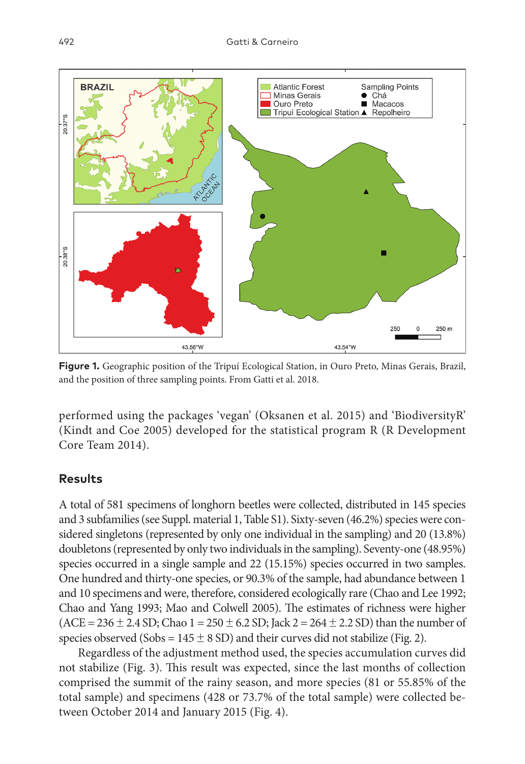

**Figure 1.** Geographic position of the Tripuí Ecological Station, in Ouro Preto, Minas Gerais, Brazil, and the position of three sampling points. From Gatti et al. 2018.

performed using the packages 'vegan' (Oksanen et al. 2015) and 'BiodiversityR' (Kindt and Coe 2005) developed for the statistical program R (R Development Core Team 2014).

# **Results**

A total of 581 specimens of longhorn beetles were collected, distributed in 145 species and 3 subfamilies (see Suppl. material 1, Table S1). Sixty-seven (46.2%) species were considered singletons (represented by only one individual in the sampling) and 20 (13.8%) doubletons (represented by only two individuals in the sampling). Seventy-one (48.95%) species occurred in a single sample and 22 (15.15%) species occurred in two samples. One hundred and thirty-one species, or 90.3% of the sample, had abundance between 1 and 10 specimens and were, therefore, considered ecologically rare (Chao and Lee 1992; Chao and Yang 1993; Mao and Colwell 2005). The estimates of richness were higher (ACE = 236  $\pm$  2.4 SD; Chao 1 = 250  $\pm$  6.2 SD; Jack 2 = 264  $\pm$  2.2 SD) than the number of species observed (Sobs =  $145 \pm 8$  SD) and their curves did not stabilize (Fig. 2).

Regardless of the adjustment method used, the species accumulation curves did not stabilize (Fig. 3). This result was expected, since the last months of collection comprised the summit of the rainy season, and more species (81 or 55.85% of the total sample) and specimens (428 or 73.7% of the total sample) were collected between October 2014 and January 2015 (Fig. 4).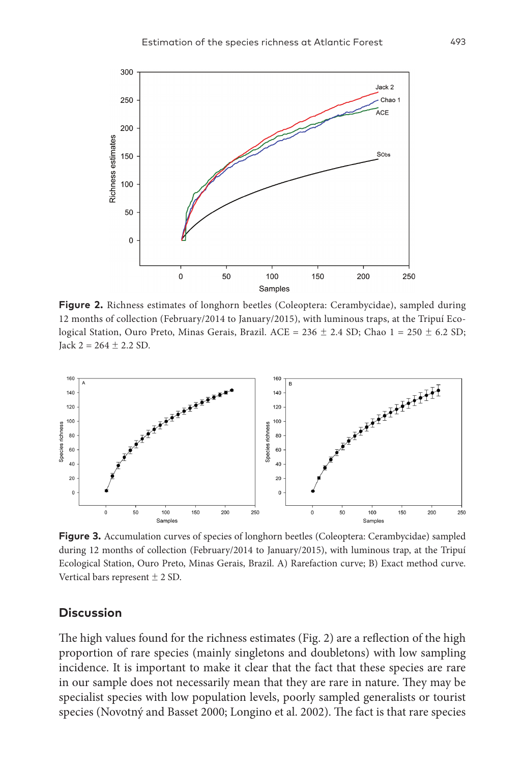

**Figure 2.** Richness estimates of longhorn beetles (Coleoptera: Cerambycidae), sampled during 12 months of collection (February/2014 to January/2015), with luminous traps, at the Tripuí Ecological Station, Ouro Preto, Minas Gerais, Brazil. ACE =  $236 \pm 2.4$  SD; Chao 1 =  $250 \pm 6.2$  SD;  $Jack 2 = 264 \pm 2.2 SD.$ 



**Figure 3.** Accumulation curves of species of longhorn beetles (Coleoptera: Cerambycidae) sampled during 12 months of collection (February/2014 to January/2015), with luminous trap, at the Tripuí Ecological Station, Ouro Preto, Minas Gerais, Brazil. A) Rarefaction curve; B) Exact method curve. Vertical bars represent  $\pm$  2 SD.

#### **Discussion**

The high values found for the richness estimates (Fig. 2) are a reflection of the high proportion of rare species (mainly singletons and doubletons) with low sampling incidence. It is important to make it clear that the fact that these species are rare in our sample does not necessarily mean that they are rare in nature. They may be specialist species with low population levels, poorly sampled generalists or tourist species (Novotný and Basset 2000; Longino et al. 2002). The fact is that rare species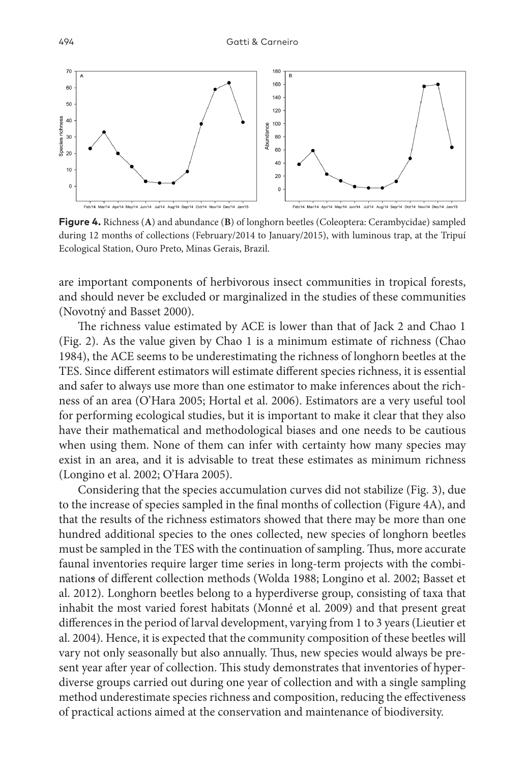

**Figure 4.** Richness (**A**) and abundance (**B**) of longhorn beetles (Coleoptera: Cerambycidae) sampled during 12 months of collections (February/2014 to January/2015), with luminous trap, at the Tripuí Ecological Station, Ouro Preto, Minas Gerais, Brazil.

are important components of herbivorous insect communities in tropical forests, and should never be excluded or marginalized in the studies of these communities (Novotný and Basset 2000).

The richness value estimated by ACE is lower than that of Jack 2 and Chao 1 (Fig. 2). As the value given by Chao 1 is a minimum estimate of richness (Chao 1984), the ACE seems to be underestimating the richness of longhorn beetles at the TES. Since different estimators will estimate different species richness, it is essential and safer to always use more than one estimator to make inferences about the richness of an area (O'Hara 2005; Hortal et al. 2006). Estimators are a very useful tool for performing ecological studies, but it is important to make it clear that they also have their mathematical and methodological biases and one needs to be cautious when using them. None of them can infer with certainty how many species may exist in an area, and it is advisable to treat these estimates as minimum richness (Longino et al. 2002; O'Hara 2005).

Considering that the species accumulation curves did not stabilize (Fig. 3), due to the increase of species sampled in the final months of collection (Figure 4A), and that the results of the richness estimators showed that there may be more than one hundred additional species to the ones collected, new species of longhorn beetles must be sampled in the TES with the continuation of sampling. Thus, more accurate faunal inventories require larger time series in long-term projects with the combinations of different collection methods (Wolda 1988; Longino et al. 2002; Basset et al. 2012). Longhorn beetles belong to a hyperdiverse group, consisting of taxa that inhabit the most varied forest habitats (Monné et al. 2009) and that present great differences in the period of larval development, varying from 1 to 3 years (Lieutier et al. 2004). Hence, it is expected that the community composition of these beetles will vary not only seasonally but also annually. Thus, new species would always be present year after year of collection. This study demonstrates that inventories of hyperdiverse groups carried out during one year of collection and with a single sampling method underestimate species richness and composition, reducing the effectiveness of practical actions aimed at the conservation and maintenance of biodiversity.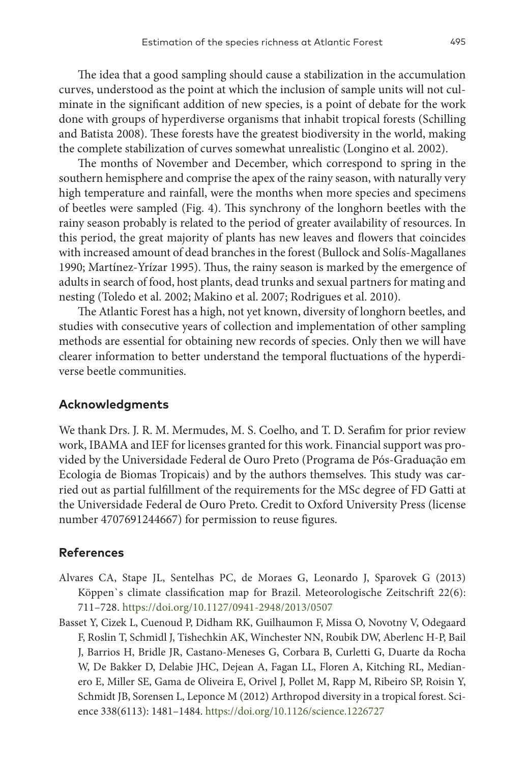The idea that a good sampling should cause a stabilization in the accumulation curves, understood as the point at which the inclusion of sample units will not culminate in the significant addition of new species, is a point of debate for the work done with groups of hyperdiverse organisms that inhabit tropical forests (Schilling and Batista 2008). These forests have the greatest biodiversity in the world, making the complete stabilization of curves somewhat unrealistic (Longino et al. 2002).

The months of November and December, which correspond to spring in the southern hemisphere and comprise the apex of the rainy season, with naturally very high temperature and rainfall, were the months when more species and specimens of beetles were sampled (Fig. 4). This synchrony of the longhorn beetles with the rainy season probably is related to the period of greater availability of resources. In this period, the great majority of plants has new leaves and flowers that coincides with increased amount of dead branches in the forest (Bullock and Solís-Magallanes 1990; Martínez-Yrízar 1995). Thus, the rainy season is marked by the emergence of adults in search of food, host plants, dead trunks and sexual partners for mating and nesting (Toledo et al. 2002; Makino et al. 2007; Rodrigues et al. 2010).

The Atlantic Forest has a high, not yet known, diversity of longhorn beetles, and studies with consecutive years of collection and implementation of other sampling methods are essential for obtaining new records of species. Only then we will have clearer information to better understand the temporal fluctuations of the hyperdiverse beetle communities.

## **Acknowledgments**

We thank Drs. J. R. M. Mermudes, M. S. Coelho, and T. D. Serafim for prior review work, IBAMA and IEF for licenses granted for this work. Financial support was provided by the Universidade Federal de Ouro Preto (Programa de Pós-Graduação em Ecologia de Biomas Tropicais) and by the authors themselves. This study was carried out as partial fulfillment of the requirements for the MSc degree of FD Gatti at the Universidade Federal de Ouro Preto. Credit to Oxford University Press (license number 4707691244667) for permission to reuse figures.

#### **References**

- Alvares CA, Stape JL, Sentelhas PC, de Moraes G, Leonardo J, Sparovek G (2013) Köppen`s climate classification map for Brazil. Meteorologische Zeitschrift 22(6): 711–728.<https://doi.org/10.1127/0941-2948/2013/0507>
- Basset Y, Cizek L, Cuenoud P, Didham RK, Guilhaumon F, Missa O, Novotny V, Odegaard F, Roslin T, Schmidl J, Tishechkin AK, Winchester NN, Roubik DW, Aberlenc H-P, Bail J, Barrios H, Bridle JR, Castano-Meneses G, Corbara B, Curletti G, Duarte da Rocha W, De Bakker D, Delabie JHC, Dejean A, Fagan LL, Floren A, Kitching RL, Medianero E, Miller SE, Gama de Oliveira E, Orivel J, Pollet M, Rapp M, Ribeiro SP, Roisin Y, Schmidt JB, Sorensen L, Leponce M (2012) Arthropod diversity in a tropical forest. Science 338(6113): 1481–1484.<https://doi.org/10.1126/science.1226727>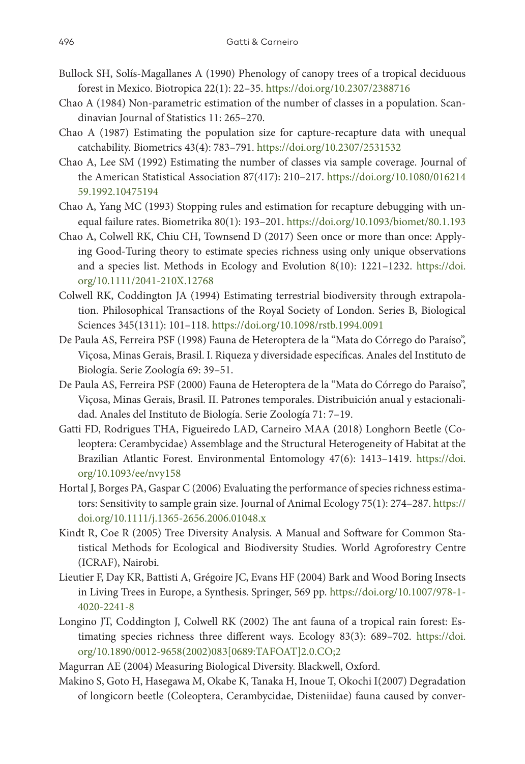- Bullock SH, Solís-Magallanes A (1990) Phenology of canopy trees of a tropical deciduous forest in Mexico. Biotropica 22(1): 22–35.<https://doi.org/10.2307/2388716>
- Chao A (1984) Non-parametric estimation of the number of classes in a population. Scandinavian Journal of Statistics 11: 265–270.
- Chao A (1987) Estimating the population size for capture-recapture data with unequal catchability. Biometrics 43(4): 783–791. <https://doi.org/10.2307/2531532>
- Chao A, Lee SM (1992) Estimating the number of classes via sample coverage. Journal of the American Statistical Association 87(417): 210–217. [https://doi.org/10.1080/016214](https://doi.org/10.1080/01621459.1992.10475194) [59.1992.10475194](https://doi.org/10.1080/01621459.1992.10475194)
- Chao A, Yang MC (1993) Stopping rules and estimation for recapture debugging with unequal failure rates. Biometrika 80(1): 193–201. <https://doi.org/10.1093/biomet/80.1.193>
- Chao A, Colwell RK, Chiu CH, Townsend D (2017) Seen once or more than once: Applying Good-Turing theory to estimate species richness using only unique observations and a species list. Methods in Ecology and Evolution 8(10): 1221–1232. [https://doi.](https://doi.org/10.1111/2041-210X.12768) [org/10.1111/2041-210X.12768](https://doi.org/10.1111/2041-210X.12768)
- Colwell RK, Coddington JA (1994) Estimating terrestrial biodiversity through extrapolation. Philosophical Transactions of the Royal Society of London. Series B, Biological Sciences 345(1311): 101–118. <https://doi.org/10.1098/rstb.1994.0091>
- De Paula AS, Ferreira PSF (1998) Fauna de Heteroptera de la "Mata do Córrego do Paraíso", Viçosa, Minas Gerais, Brasil. I. Riqueza y diversidade específicas. Anales del Instituto de Biología. Serie Zoología 69: 39–51.
- De Paula AS, Ferreira PSF (2000) Fauna de Heteroptera de la "Mata do Córrego do Paraíso", Viçosa, Minas Gerais, Brasil. II. Patrones temporales. Distribuición anual y estacionalidad. Anales del Instituto de Biología. Serie Zoología 71: 7–19.
- Gatti FD, Rodrigues THA, Figueiredo LAD, Carneiro MAA (2018) Longhorn Beetle (Coleoptera: Cerambycidae) Assemblage and the Structural Heterogeneity of Habitat at the Brazilian Atlantic Forest. Environmental Entomology 47(6): 1413–1419. [https://doi.](https://doi.org/10.1093/ee/nvy158) [org/10.1093/ee/nvy158](https://doi.org/10.1093/ee/nvy158)
- Hortal J, Borges PA, Gaspar C (2006) Evaluating the performance of species richness estimators: Sensitivity to sample grain size. Journal of Animal Ecology 75(1): 274–287. [https://](https://doi.org/10.1111/j.1365-2656.2006.01048.x) [doi.org/10.1111/j.1365-2656.2006.01048.x](https://doi.org/10.1111/j.1365-2656.2006.01048.x)
- Kindt R, Coe R (2005) Tree Diversity Analysis. A Manual and Software for Common Statistical Methods for Ecological and Biodiversity Studies. World Agroforestry Centre (ICRAF), Nairobi.
- Lieutier F, Day KR, Battisti A, Grégoire JC, Evans HF (2004) Bark and Wood Boring Insects in Living Trees in Europe, a Synthesis. Springer, 569 pp. [https://doi.org/10.1007/978-1-](https://doi.org/10.1007/978-1-4020-2241-8) [4020-2241-8](https://doi.org/10.1007/978-1-4020-2241-8)
- Longino JT, Coddington J, Colwell RK (2002) The ant fauna of a tropical rain forest: Estimating species richness three different ways. Ecology 83(3): 689–702. [https://doi.](https://doi.org/10.1890/0012-9658(2002)083%5B0689:TAFOAT%5D2.0.CO;2) [org/10.1890/0012-9658\(2002\)083\[0689:TAFOAT\]2.0.CO;2](https://doi.org/10.1890/0012-9658(2002)083%5B0689:TAFOAT%5D2.0.CO;2)
- Magurran AE (2004) Measuring Biological Diversity. Blackwell, Oxford.
- Makino S, Goto H, Hasegawa M, Okabe K, Tanaka H, Inoue T, Okochi I(2007) Degradation of longicorn beetle (Coleoptera, Cerambycidae, Disteniidae) fauna caused by conver-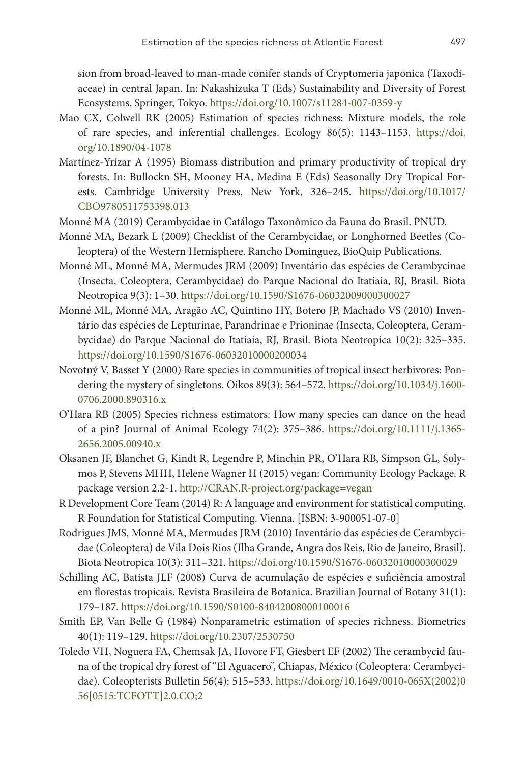sion from broad-leaved to man-made conifer stands of Cryptomeria japonica (Taxodiaceae) in central Japan. In: Nakashizuka T (Eds) Sustainability and Diversity of Forest Ecosystems. Springer, Tokyo. <https://doi.org/10.1007/s11284-007-0359-y>

- Mao CX, Colwell RK (2005) Estimation of species richness: Mixture models, the role of rare species, and inferential challenges. Ecology 86(5): 1143–1153. [https://doi.](https://doi.org/10.1890/04-1078) [org/10.1890/04-1078](https://doi.org/10.1890/04-1078)
- Martínez-Yrízar A (1995) Biomass distribution and primary productivity of tropical dry forests. In: Bullockn SH, Mooney HA, Medina E (Eds) Seasonally Dry Tropical Forests. Cambridge University Press, New York, 326–245. [https://doi.org/10.1017/](https://doi.org/10.1017/CBO9780511753398.013) [CBO9780511753398.013](https://doi.org/10.1017/CBO9780511753398.013)
- Monné MA (2019) Cerambycidae in Catálogo Taxonômico da Fauna do Brasil. PNUD.
- Monné MA, Bezark L (2009) Checklist of the Cerambycidae, or Longhorned Beetles (Coleoptera) of the Western Hemisphere. Rancho Dominguez, BioQuip Publications.
- Monné ML, Monné MA, Mermudes JRM (2009) Inventário das espécies de Cerambycinae (Insecta, Coleoptera, Cerambycidae) do Parque Nacional do Itatiaia, RJ, Brasil. Biota Neotropica 9(3): 1–30. <https://doi.org/10.1590/S1676-06032009000300027>
- Monné ML, Monné MA, Aragão AC, Quintino HY, Botero JP, Machado VS (2010) Inventário das espécies de Lepturinae, Parandrinae e Prioninae (Insecta, Coleoptera, Cerambycidae) do Parque Nacional do Itatiaia, RJ, Brasil. Biota Neotropica 10(2): 325–335. <https://doi.org/10.1590/S1676-06032010000200034>
- Novotný V, Basset Y (2000) Rare species in communities of tropical insect herbivores: Pondering the mystery of singletons. Oikos 89(3): 564–572. [https://doi.org/10.1034/j.1600-](https://doi.org/10.1034/j.1600-0706.2000.890316.x) [0706.2000.890316.x](https://doi.org/10.1034/j.1600-0706.2000.890316.x)
- O'Hara RB (2005) Species richness estimators: How many species can dance on the head of a pin? Journal of Animal Ecology 74(2): 375–386. [https://doi.org/10.1111/j.1365-](https://doi.org/10.1111/j.1365-2656.2005.00940.x) [2656.2005.00940.x](https://doi.org/10.1111/j.1365-2656.2005.00940.x)
- Oksanen JF, Blanchet G, Kindt R, Legendre P, Minchin PR, O'Hara RB, Simpson GL, Solymos P, Stevens MHH, Helene Wagner H (2015) vegan: Community Ecology Package. R package version 2.2-1.<http://CRAN.R-project.org/package=vegan>
- R Development Core Team (2014) R: A language and environment for statistical computing. R Foundation for Statistical Computing. Vienna. [ISBN: 3-900051-07-0]
- Rodrigues JMS, Monné MA, Mermudes JRM (2010) Inventário das espécies de Cerambycidae (Coleoptera) de Vila Dois Rios (Ilha Grande, Angra dos Reis, Rio de Janeiro, Brasil). Biota Neotropica 10(3): 311–321. <https://doi.org/10.1590/S1676-06032010000300029>
- Schilling AC, Batista JLF (2008) Curva de acumulação de espécies e suficiência amostral em florestas tropicais. Revista Brasileira de Botanica. Brazilian Journal of Botany 31(1): 179–187. <https://doi.org/10.1590/S0100-84042008000100016>
- Smith EP, Van Belle G (1984) Nonparametric estimation of species richness. Biometrics 40(1): 119–129. <https://doi.org/10.2307/2530750>
- Toledo VH, Noguera FA, Chemsak JA, Hovore FT, Giesbert EF (2002) The cerambycid fauna of the tropical dry forest of "El Aguacero", Chiapas, México (Coleoptera: Cerambycidae). Coleopterists Bulletin 56(4): 515–533. [https://doi.org/10.1649/0010-065X\(2002\)0](https://doi.org/10.1649/0010-065X(2002)056%5B0515:TCFOTT%5D2.0.CO;2) [56\[0515:TCFOTT\]2.0.CO;2](https://doi.org/10.1649/0010-065X(2002)056%5B0515:TCFOTT%5D2.0.CO;2)